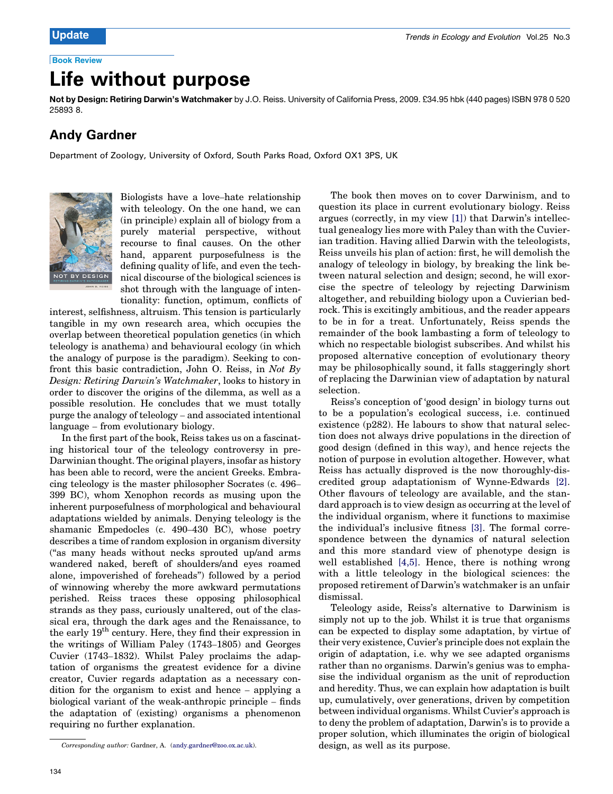# Life without purpose

Not by Design: Retiring Darwin's Watchmaker by J.O. Reiss. University of California Press, 2009. £34.95 hbk (440 pages) ISBN 978 0 520 25893 8.

### Andy Gardner

Department of Zoology, University of Oxford, South Parks Road, Oxford OX1 3PS, UK



Biologists have a love–hate relationship with teleology. On the one hand, we can (in principle) explain all of biology from a purely material perspective, without recourse to final causes. On the other hand, apparent purposefulness is the defining quality of life, and even the technical discourse of the biological sciences is shot through with the language of inten-

tionality: function, optimum, conflicts of interest, selfishness, altruism. This tension is particularly tangible in my own research area, which occupies the overlap between theoretical population genetics (in which teleology is anathema) and behavioural ecology (in which the analogy of purpose is the paradigm). Seeking to confront this basic contradiction, John O. Reiss, in Not By Design: Retiring Darwin's Watchmaker, looks to history in order to discover the origins of the dilemma, as well as a possible resolution. He concludes that we must totally purge the analogy of teleology – and associated intentional language – from evolutionary biology.

In the first part of the book, Reiss takes us on a fascinating historical tour of the teleology controversy in pre-Darwinian thought. The original players, insofar as history has been able to record, were the ancient Greeks. Embracing teleology is the master philosopher Socrates (c. 496– 399 BC), whom Xenophon records as musing upon the inherent purposefulness of morphological and behavioural adaptations wielded by animals. Denying teleology is the shamanic Empedocles (c. 490–430 BC), whose poetry describes a time of random explosion in organism diversity (''as many heads without necks sprouted up/and arms wandered naked, bereft of shoulders/and eyes roamed alone, impoverished of foreheads'') followed by a period of winnowing whereby the more awkward permutations perished. Reiss traces these opposing philosophical strands as they pass, curiously unaltered, out of the classical era, through the dark ages and the Renaissance, to the early 19th century. Here, they find their expression in the writings of William Paley (1743–1805) and Georges Cuvier (1743–1832). Whilst Paley proclaims the adaptation of organisms the greatest evidence for a divine creator, Cuvier regards adaptation as a necessary condition for the organism to exist and hence – applying a biological variant of the weak-anthropic principle – finds the adaptation of (existing) organisms a phenomenon requiring no further explanation.

The book then moves on to cover Darwinism, and to question its place in current evolutionary biology. Reiss argues (correctly, in my view [\[1\]](#page-1-0)) that Darwin's intellectual genealogy lies more with Paley than with the Cuvierian tradition. Having allied Darwin with the teleologists, Reiss unveils his plan of action: first, he will demolish the analogy of teleology in biology, by breaking the link between natural selection and design; second, he will exorcise the spectre of teleology by rejecting Darwinism altogether, and rebuilding biology upon a Cuvierian bedrock. This is excitingly ambitious, and the reader appears to be in for a treat. Unfortunately, Reiss spends the remainder of the book lambasting a form of teleology to which no respectable biologist subscribes. And whilst his proposed alternative conception of evolutionary theory may be philosophically sound, it falls staggeringly short of replacing the Darwinian view of adaptation by natural selection.

Reiss's conception of 'good design' in biology turns out to be a population's ecological success, i.e. continued existence (p282). He labours to show that natural selection does not always drive populations in the direction of good design (defined in this way), and hence rejects the notion of purpose in evolution altogether. However, what Reiss has actually disproved is the now thoroughly-discredited group adaptationism of Wynne-Edwards [\[2\]](#page-1-0). Other flavours of teleology are available, and the standard approach is to view design as occurring at the level of the individual organism, where it functions to maximise the individual's inclusive fitness [\[3\]](#page-1-0). The formal correspondence between the dynamics of natural selection and this more standard view of phenotype design is well established [4,5]. Hence, there is nothing wrong with a little teleology in the biological sciences: the proposed retirement of Darwin's watchmaker is an unfair dismissal.

Teleology aside, Reiss's alternative to Darwinism is simply not up to the job. Whilst it is true that organisms can be expected to display some adaptation, by virtue of their very existence, Cuvier's principle does not explain the origin of adaptation, i.e. why we see adapted organisms rather than no organisms. Darwin's genius was to emphasise the individual organism as the unit of reproduction and heredity. Thus, we can explain how adaptation is built up, cumulatively, over generations, driven by competition between individual organisms. Whilst Cuvier's approach is to deny the problem of adaptation, Darwin's is to provide a proper solution, which illuminates the origin of biological

Corresponding author: Gardner, A. ([andy.gardner@zoo.ox.ac.uk\)](mailto:andy.gardner@zoo.ox.ac.uk). design, as well as its purpose.